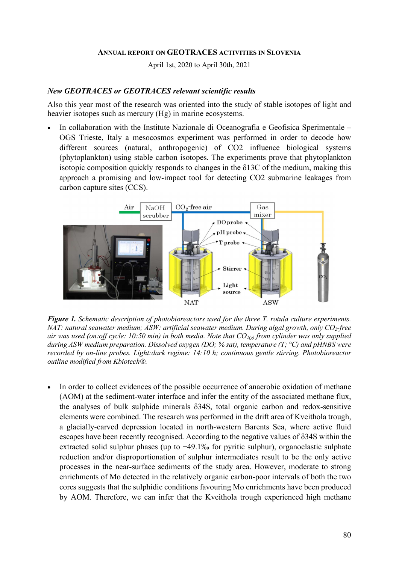#### ANNUAL REPORT ON GEOTRACES ACTIVITIES IN SLOVENIA

April 1st, 2020 to April 30th, 2021

### New GEOTRACES or GEOTRACES relevant scientific results

Also this year most of the research was oriented into the study of stable isotopes of light and heavier isotopes such as mercury (Hg) in marine ecosystems.

 In collaboration with the Institute Nazionale di Oceanografia e Geofisica Sperimentale – OGS Trieste, Italy a mesocosmos experiment was performed in order to decode how different sources (natural, anthropogenic) of CO2 influence biological systems (phytoplankton) using stable carbon isotopes. The experiments prove that phytoplankton isotopic composition quickly responds to changes in the δ13C of the medium, making this approach a promising and low-impact tool for detecting CO2 submarine leakages from carbon capture sites (CCS).



Figure 1. Schematic description of photobioreactors used for the three T. rotula culture experiments. NAT: natural seawater medium; ASW: artificial seawater medium. During algal growth, only CO<sub>2</sub>-free air was used (on:off cycle: 10:50 min) in both media. Note that  $CO_{2(e)}$  from cylinder was only supplied during ASW medium preparation. Dissolved oxygen (DO; % sat), temperature (T;  $^{\circ}$ C) and pHNBS were recorded by on-line probes. Light:dark regime: 14:10 h; continuous gentle stirring. Photobioreactor outline modified from Kbiotech®.

 In order to collect evidences of the possible occurrence of anaerobic oxidation of methane (AOM) at the sediment-water interface and infer the entity of the associated methane flux, the analyses of bulk sulphide minerals δ34S, total organic carbon and redox-sensitive elements were combined. The research was performed in the drift area of Kveithola trough, a glacially-carved depression located in north-western Barents Sea, where active fluid escapes have been recently recognised. According to the negative values of δ34S within the extracted solid sulphur phases (up to −49.1‰ for pyritic sulphur), organoclastic sulphate reduction and/or disproportionation of sulphur intermediates result to be the only active processes in the near-surface sediments of the study area. However, moderate to strong enrichments of Mo detected in the relatively organic carbon-poor intervals of both the two cores suggests that the sulphidic conditions favouring Mo enrichments have been produced by AOM. Therefore, we can infer that the Kveithola trough experienced high methane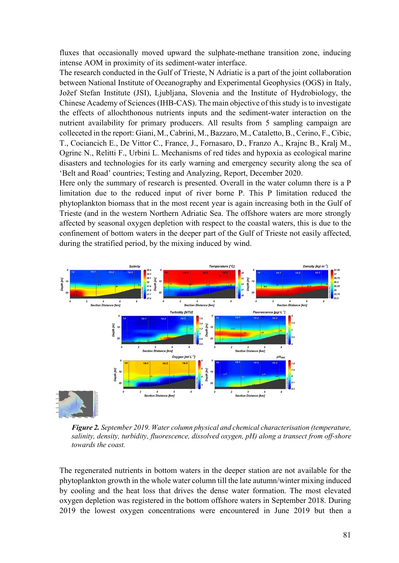fluxes that occasionally moved upward the sulphate-methane transition zone, inducing intense AOM in proximity of its sediment-water interface.

The research conducted in the Gulf of Trieste, N Adriatic is a part of the joint collaboration between National Institute of Oceanography and Experimental Geophysics (OGS) in Italy, Jožef Stefan Institute (JSI), Ljubljana, Slovenia and the Institute of Hydrobiology, the Chinese Academy of Sciences (IHB-CAS). The main objective of this study is to investigate the effects of allochthonous nutrients inputs and the sediment-water interaction on the nutrient availability for primary producers. All results from 5 sampling campaign are colleceted in the report: Giani, M., Cabrini, M., Bazzaro, M., Cataletto, B., Cerino, F., Cibic, T., Cociancich E., De Vittor C., France, J., Fornasaro, D., Franzo A., Krajnc B., Kralj M., Ogrinc N., Relitti F., Urbini L. Mechanisms of red tides and hypoxia as ecological marine disasters and technologies for its early warning and emergency security along the sea of 'Belt and Road' countries; Testing and Analyzing, Report, December 2020.

Here only the summary of research is presented. Overall in the water column there is a P limitation due to the reduced input of river borne P. This P limitation reduced the phytoplankton biomass that in the most recent year is again increasing both in the Gulf of Trieste (and in the western Northern Adriatic Sea. The offshore waters are more strongly affected by seasonal oxygen depletion with respect to the coastal waters, this is due to the confinement of bottom waters in the deeper part of the Gulf of Trieste not easily affected, during the stratified period, by the mixing induced by wind.



Figure 2. September 2019. Water column physical and chemical characterisation (temperature, salinity, density, turbidity, fluorescence, dissolved oxygen, pH) along a transect from off-shore towards the coast.

The regenerated nutrients in bottom waters in the deeper station are not available for the phytoplankton growth in the whole water column till the late autumn/winter mixing induced by cooling and the heat loss that drives the dense water formation. The most elevated oxygen depletion was registered in the bottom offshore waters in September 2018. During 2019 the lowest oxygen concentrations were encountered in June 2019 but then a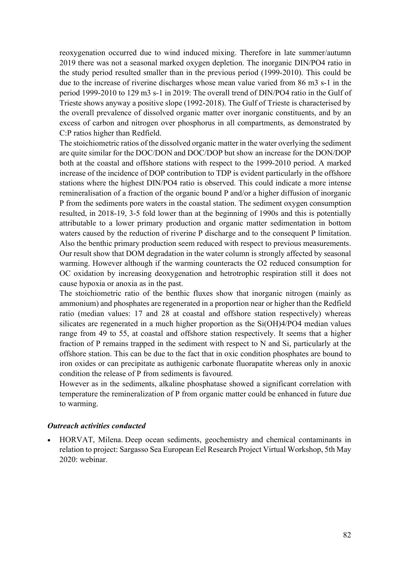reoxygenation occurred due to wind induced mixing. Therefore in late summer/autumn 2019 there was not a seasonal marked oxygen depletion. The inorganic DIN/PO4 ratio in the study period resulted smaller than in the previous period (1999-2010). This could be due to the increase of riverine discharges whose mean value varied from 86 m3 s-1 in the period 1999-2010 to 129 m3 s-1 in 2019: The overall trend of DIN/PO4 ratio in the Gulf of Trieste shows anyway a positive slope (1992-2018). The Gulf of Trieste is characterised by the overall prevalence of dissolved organic matter over inorganic constituents, and by an excess of carbon and nitrogen over phosphorus in all compartments, as demonstrated by C:P ratios higher than Redfield.

The stoichiometric ratios of the dissolved organic matter in the water overlying the sediment are quite similar for the DOC/DON and DOC/DOP but show an increase for the DON/DOP both at the coastal and offshore stations with respect to the 1999-2010 period. A marked increase of the incidence of DOP contribution to TDP is evident particularly in the offshore stations where the highest DIN/PO4 ratio is observed. This could indicate a more intense remineralisation of a fraction of the organic bound P and/or a higher diffusion of inorganic P from the sediments pore waters in the coastal station. The sediment oxygen consumption resulted, in 2018-19, 3-5 fold lower than at the beginning of 1990s and this is potentially attributable to a lower primary production and organic matter sedimentation in bottom waters caused by the reduction of riverine P discharge and to the consequent P limitation. Also the benthic primary production seem reduced with respect to previous measurements. Our result show that DOM degradation in the water column is strongly affected by seasonal warming. However although if the warming counteracts the O2 reduced consumption for OC oxidation by increasing deoxygenation and hetrotrophic respiration still it does not cause hypoxia or anoxia as in the past.

The stoichiometric ratio of the benthic fluxes show that inorganic nitrogen (mainly as ammonium) and phosphates are regenerated in a proportion near or higher than the Redfield ratio (median values: 17 and 28 at coastal and offshore station respectively) whereas silicates are regenerated in a much higher proportion as the Si(OH)4/PO4 median values range from 49 to 55, at coastal and offshore station respectively. It seems that a higher fraction of P remains trapped in the sediment with respect to N and Si, particularly at the offshore station. This can be due to the fact that in oxic condition phosphates are bound to iron oxides or can precipitate as authigenic carbonate fluorapatite whereas only in anoxic condition the release of P from sediments is favoured.

However as in the sediments, alkaline phosphatase showed a significant correlation with temperature the remineralization of P from organic matter could be enhanced in future due to warming.

### Outreach activities conducted

 HORVAT, Milena. Deep ocean sediments, geochemistry and chemical contaminants in relation to project: Sargasso Sea European Eel Research Project Virtual Workshop, 5th May 2020: webinar.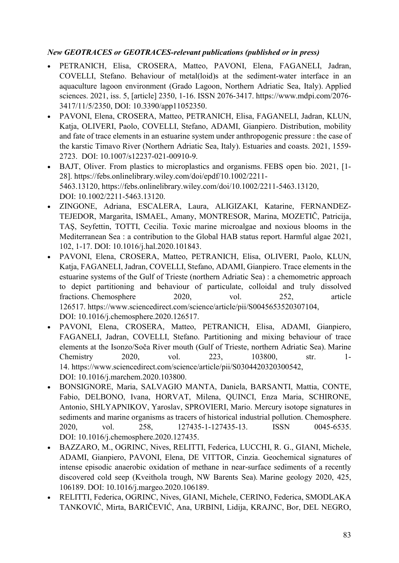# New GEOTRACES or GEOTRACES-relevant publications (published or in press)

- PETRANICH, Elisa, CROSERA, Matteo, PAVONI, Elena, FAGANELI, Jadran, COVELLI, Stefano. Behaviour of metal(loid)s at the sediment-water interface in an aquaculture lagoon environment (Grado Lagoon, Northern Adriatic Sea, Italy). Applied sciences. 2021, iss. 5, [article] 2350, 1-16. ISSN 2076-3417. https://www.mdpi.com/2076- 3417/11/5/2350, DOI: 10.3390/app11052350.
- PAVONI, Elena, CROSERA, Matteo, PETRANICH, Elisa, FAGANELI, Jadran, KLUN, Katja, OLIVERI, Paolo, COVELLI, Stefano, ADAMI, Gianpiero. Distribution, mobility and fate of trace elements in an estuarine system under anthropogenic pressure : the case of the karstic Timavo River (Northern Adriatic Sea, Italy). Estuaries and coasts. 2021, 1559- 2723. DOI: 10.1007/s12237-021-00910-9.
- BAJT, Oliver. From plastics to microplastics and organisms. FEBS open bio. 2021, [1- 28]. https://febs.onlinelibrary.wiley.com/doi/epdf/10.1002/2211- 5463.13120, https://febs.onlinelibrary.wiley.com/doi/10.1002/2211-5463.13120, DOI: 10.1002/2211-5463.13120.
- ZINGONE, Adriana, ESCALERA, Laura, ALIGIZAKI, Katarine, FERNANDEZ-TEJEDOR, Margarita, ISMAEL, Amany, MONTRESOR, Marina, MOZETIČ, Patricija, TAŞ, Seyfettin, TOTTI, Cecilia. Toxic marine microalgae and noxious blooms in the Mediterranean Sea : a contribution to the Global HAB status report. Harmful algae 2021, 102, 1-17. DOI: 10.1016/j.hal.2020.101843.
- PAVONI, Elena, CROSERA, Matteo, PETRANICH, Elisa, OLIVERI, Paolo, KLUN, Katja, FAGANELI, Jadran, COVELLI, Stefano, ADAMI, Gianpiero. Trace elements in the estuarine systems of the Gulf of Trieste (northern Adriatic Sea) : a chemometric approach to depict partitioning and behaviour of particulate, colloidal and truly dissolved fractions. Chemosphere 2020, vol. 252, article 126517. https://www.sciencedirect.com/science/article/pii/S0045653520307104, DOI: 10.1016/j.chemosphere.2020.126517.
- PAVONI, Elena, CROSERA, Matteo, PETRANICH, Elisa, ADAMI, Gianpiero, FAGANELI, Jadran, COVELLI, Stefano. Partitioning and mixing behaviour of trace elements at the Isonzo/Soča River mouth (Gulf of Trieste, northern Adriatic Sea). Marine Chemistry 2020, vol. 223, 103800, str. 1- 14. https://www.sciencedirect.com/science/article/pii/S0304420320300542, DOI: 10.1016/j.marchem.2020.103800.
- BONSIGNORE, Maria, SALVAGIO MANTA, Daniela, BARSANTI, Mattia, CONTE, Fabio, DELBONO, Ivana, HORVAT, Milena, QUINCI, Enza Maria, SCHIRONE, Antonio, SHLYAPNIKOV, Yaroslav, SPROVIERI, Mario. Mercury isotope signatures in sediments and marine organisms as tracers of historical industrial pollution. Chemosphere. 2020, vol. 258, 127435-1-127435-13. ISSN 0045-6535. DOI: 10.1016/j.chemosphere.2020.127435.
- BAZZARO, M., OGRINC, Nives, RELITTI, Federica, LUCCHI, R. G., GIANI, Michele, ADAMI, Gianpiero, PAVONI, Elena, DE VITTOR, Cinzia. Geochemical signatures of intense episodic anaerobic oxidation of methane in near-surface sediments of a recently discovered cold seep (Kveithola trough, NW Barents Sea). Marine geology 2020, 425, 106189. DOI: 10.1016/j.margeo.2020.106189.
- RELITTI, Federica, OGRINC, Nives, GIANI, Michele, CERINO, Federica, SMODLAKA TANKOVIĆ, Mirta, BARIČEVIĆ, Ana, URBINI, Lidija, KRAJNC, Bor, DEL NEGRO,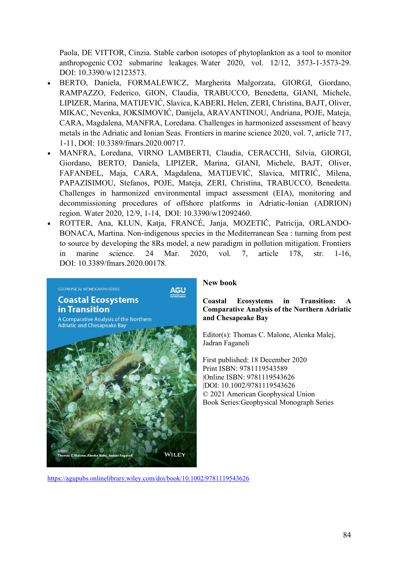Paola, DE VITTOR, Cinzia. Stable carbon isotopes of phytoplankton as a tool to monitor anthropogenic CO2 submarine leakages. Water 2020, vol. 12/12, 3573-1-3573-29. DOI: 10.3390/w12123573.

- BERTO, Daniela, FORMALEWICZ, Margherita Malgorzata, GIORGI, Giordano, RAMPAZZO, Federico, GION, Claudia, TRABUCCO, Benedetta, GIANI, Michele, LIPIZER, Marina, MATIJEVIĆ, Slavica, KABERI, Helen, ZERI, Christina, BAJT, Oliver, MIKAC, Nevenka, JOKSIMOVIĆ, Danijela, ARAVANTINOU, Andriana, POJE, Mateja, CARA, Magdalena, MANFRA, Loredana. Challenges in harmonized assessment of heavy metals in the Adriatic and Ionian Seas. Frontiers in marine science 2020, vol. 7, article 717, 1-11, DOI: 10.3389/fmars.2020.00717.
- MANFRA, Loredana, VIRNO LAMBERTI, Claudia, CERACCHI, Silvia, GIORGI, Giordano, BERTO, Daniela, LIPIZER, Marina, GIANI, Michele, BAJT, Oliver, FAFANĐEL, Maja, CARA, Magdalena, MATIJEVIĆ, Slavica, MITRIĆ, Milena, PAPAZISIMOU, Stefanos, POJE, Mateja, ZERI, Christina, TRABUCCO, Benedetta. Challenges in harmonized environmental impact assessment (EIA), monitoring and decommissioning procedures of offshore platforms in Adriatic-Ionian (ADRION) region. Water 2020, 12/9, 1-14, DOI: 10.3390/w12092460.
- ROTTER, Ana, KLUN, Katja, FRANCÉ, Janja, MOZETIČ, Patricija, ORLANDO-BONACA, Martina. Non-indigenous species in the Mediterranean Sea : turning from pest to source by developing the 8Rs model, a new paradigm in pollution mitigation. Frontiers in marine science. 24 Mar. 2020, vol. 7, article 178, str. 1-16, DOI: 10.3389/fmars.2020.00178.



### New book

Coastal Ecosystems in Transition: A Comparative Analysis of the Northern Adriatic and Chesapeake Bay

Editor(s): Thomas C. Malone, Alenka Malej, Jadran Faganeli

First published: 18 December 2020 Print ISBN: 9781119543589 |Online ISBN: 9781119543626 |DOI: 10.1002/9781119543626 © 2021 American Geophysical Union Book Series:Geophysical Monograph Series

https://agupubs.onlinelibrary.wiley.com/doi/book/10.1002/9781119543626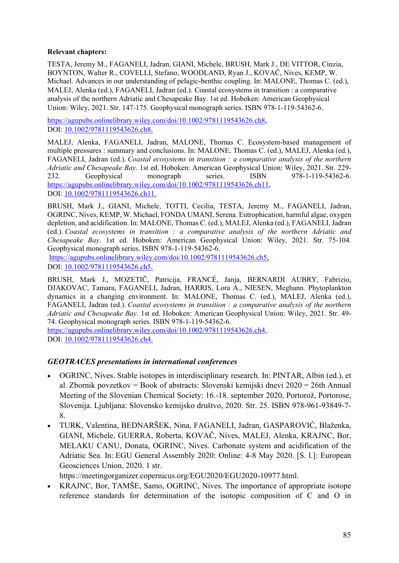### Relevant chapters:

TESTA, Jeremy M., FAGANELI, Jadran, GIANI, Michele, BRUSH, Mark J., DE VITTOR, Cinzia, BOYNTON, Walter R., COVELLI, Stefano, WOODLAND, Ryan J., KOVAČ, Nives, KEMP, W. Michael. Advances in our understanding of pelagic-benthic coupling. In: MALONE, Thomas C. (ed.), MALEJ, Alenka (ed.), FAGANELI, Jadran (ed.). Coastal ecosystems in transition : a comparative analysis of the northern Adriatic and Chesapeake Bay. 1st ed. Hoboken: American Geophysical Union: Wiley, 2021. Str. 147-175. Geophysical monograph series. ISBN 978-1-119-54362-6.

https://agupubs.onlinelibrary.wiley.com/doi/10.1002/9781119543626.ch8, DOI: 10.1002/9781119543626.ch8.

MALEJ, Alenka, FAGANELI, Jadran, MALONE, Thomas C. Ecosystem-based management of multiple pressures : summary and conclusions. In: MALONE, Thomas C. (ed.), MALEJ, Alenka (ed.), FAGANELI, Jadran (ed.). Coastal ecosystems in transition : a comparative analysis of the northern Adriatic and Chesapeake Bay. 1st ed. Hoboken: American Geophysical Union: Wiley, 2021. Str. 229- 232. Geophysical monograph series. ISBN 978-1-119-54362-6. https://agupubs.onlinelibrary.wiley.com/doi/10.1002/9781119543626.ch11, DOI: 10.1002/9781119543626.ch11.

BRUSH, Mark J., GIANI, Michele, TOTTI, Cecilia, TESTA, Jeremy M., FAGANELI, Jadran, OGRINC, Nives, KEMP, W. Michael, FONDA UMANI, Serena. Eutrophication, harmful algae, oxygen depletion, and acidification. In: MALONE, Thomas C. (ed.), MALEJ, Alenka (ed.), FAGANELI, Jadran (ed.). Coastal ecosystems in transition : a comparative analysis of the northern Adriatic and Chesapeake Bay. 1st ed. Hoboken: American Geophysical Union: Wiley, 2021. Str. 75-104. Geophysical monograph series. ISBN 978-1-119-54362-6.

https://agupubs.onlinelibrary.wiley.com/doi/10.1002/9781119543626.ch5, DOI: 10.1002/9781119543626.ch5.

BRUSH, Mark J., MOZETIČ, Patricija, FRANCÉ, Janja, BERNARDI AUBRY, Fabrizio, DJAKOVAC, Tamara, FAGANELI, Jadran, HARRIS, Lora A., NIESEN, Meghann. Phytoplankton dynamics in a changing environment. In: MALONE, Thomas C. (ed.), MALEJ, Alenka (ed.), FAGANELI, Jadran (ed.). Coastal ecosystems in transition : a comparative analysis of the northern Adriatic and Chesapeake Bay. 1st ed. Hoboken: American Geophysical Union: Wiley, 2021. Str. 49- 74. Geophysical monograph series. ISBN 978-1-119-54362-6. https://agupubs.onlinelibrary.wiley.com/doi/10.1002/9781119543626.ch4,

DOI: 10.1002/9781119543626.ch4.

## GEOTRACES presentations in international conferences

- OGRINC, Nives. Stable isotopes in interdisciplinary research. In: PINTAR, Albin (ed.), et al. Zbornik povzetkov = Book of abstracts: Slovenski kemijski dnevi 2020 = 26th Annual Meeting of the Slovenian Chemical Society: 16.-18. september 2020, Portorož, Portorose, Slovenija. Ljubljana: Slovensko kemijsko društvo, 2020. Str. 25. ISBN 978-961-93849-7- 8.
- TURK, Valentina, BEDNARŠEK, Nina, FAGANELI, Jadran, GASPAROVIĆ, Blaženka, GIANI, Michele, GUERRA, Roberta, KOVAČ, Nives, MALEJ, Alenka, KRAJNC, Bor, MELAKU CANU, Donata, OGRINC, Nives. Carbonate system and acidification of the Adriatic Sea. In: EGU General Assembly 2020: Online: 4-8 May 2020. [S. l.]: European Geosciences Union, 2020. 1 str.

https://meetingorganizer.copernicus.org/EGU2020/EGU2020-10977.html.

 KRAJNC, Bor, TAMŠE, Samo, OGRINC, Nives. The importance of appropriate isotope reference standards for determination of the isotopic composition of C and O in